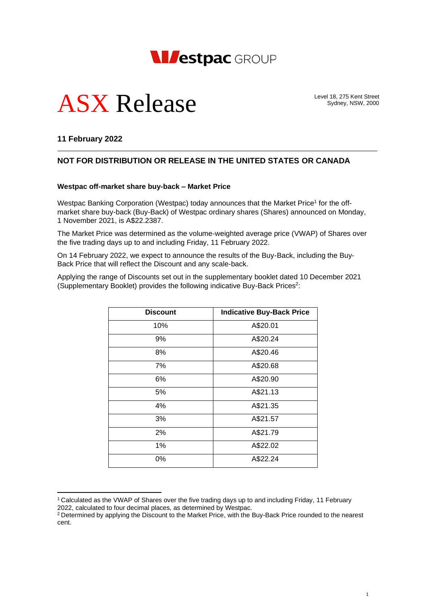

# ASX Release

Level 18, 275 Kent Street Sydney, NSW, 2000

### **11 February 2022**

## **NOT FOR DISTRIBUTION OR RELEASE IN THE UNITED STATES OR CANADA**

#### **Westpac off-market share buy-back – Market Price**

Westpac Banking Corporation (Westpac) today announces that the Market Price<sup>1</sup> for the offmarket share buy-back (Buy-Back) of Westpac ordinary shares (Shares) announced on Monday, 1 November 2021, is A\$22.2387.

The Market Price was determined as the volume-weighted average price (VWAP) of Shares over the five trading days up to and including Friday, 11 February 2022.

On 14 February 2022, we expect to announce the results of the Buy-Back, including the Buy-Back Price that will reflect the Discount and any scale-back.

Applying the range of Discounts set out in the supplementary booklet dated 10 December 2021 (Supplementary Booklet) provides the following indicative Buy-Back Prices<sup>2</sup>:

| <b>Discount</b> | <b>Indicative Buy-Back Price</b> |
|-----------------|----------------------------------|
| 10%             | A\$20.01                         |
| 9%              | A\$20.24                         |
| 8%              | A\$20.46                         |
| 7%              | A\$20.68                         |
| 6%              | A\$20.90                         |
| 5%              | A\$21.13                         |
| 4%              | A\$21.35                         |
| 3%              | A\$21.57                         |
| 2%              | A\$21.79                         |
| 1%              | A\$22.02                         |
| 0%              | A\$22.24                         |

<sup>1</sup> Calculated as the VWAP of Shares over the five trading days up to and including Friday, 11 February 2022, calculated to four decimal places, as determined by Westpac.

<sup>&</sup>lt;sup>2</sup> Determined by applying the Discount to the Market Price, with the Buy-Back Price rounded to the nearest cent.